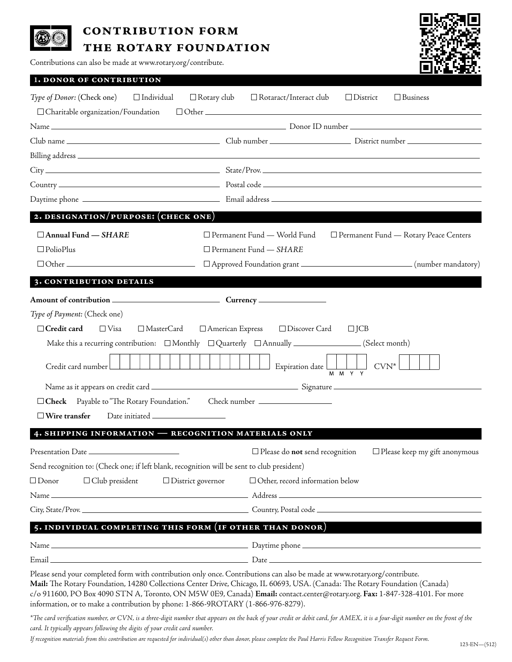## **CONTRIBUTION FORM THE ROTARY FOUNDATION**

Contributions can also be made at [www.rotary.org/contribute.](http://www.rotary.org/contribute)



| 1. DONOR OF CONTRIBUTION                                                                    |                                                                                                                                                                                                                                                                                                                                                                                          |  |  |  |
|---------------------------------------------------------------------------------------------|------------------------------------------------------------------------------------------------------------------------------------------------------------------------------------------------------------------------------------------------------------------------------------------------------------------------------------------------------------------------------------------|--|--|--|
| Type of Donor: (Check one) □ Individual<br>$\Box$ Charitable organization/Foundation        | $\Box$ Rotary club<br>$\Box$ Rotaract/Interact club<br>$\Box$ District<br>$\Box$ Business                                                                                                                                                                                                                                                                                                |  |  |  |
|                                                                                             |                                                                                                                                                                                                                                                                                                                                                                                          |  |  |  |
|                                                                                             |                                                                                                                                                                                                                                                                                                                                                                                          |  |  |  |
|                                                                                             |                                                                                                                                                                                                                                                                                                                                                                                          |  |  |  |
|                                                                                             |                                                                                                                                                                                                                                                                                                                                                                                          |  |  |  |
|                                                                                             |                                                                                                                                                                                                                                                                                                                                                                                          |  |  |  |
|                                                                                             |                                                                                                                                                                                                                                                                                                                                                                                          |  |  |  |
| 2. DESIGNATION/PURPOSE: (CHECK ONE)                                                         |                                                                                                                                                                                                                                                                                                                                                                                          |  |  |  |
| $\Box$ Annual Fund – SHARE                                                                  | $\square$ Permanent Fund — World Fund<br>□ Permanent Fund — Rotary Peace Centers                                                                                                                                                                                                                                                                                                         |  |  |  |
| $\Box$ PolioPlus                                                                            | $\Box$ Permanent Fund $-SHARE$                                                                                                                                                                                                                                                                                                                                                           |  |  |  |
|                                                                                             |                                                                                                                                                                                                                                                                                                                                                                                          |  |  |  |
| 3. CONTRIBUTION DETAILS                                                                     |                                                                                                                                                                                                                                                                                                                                                                                          |  |  |  |
|                                                                                             |                                                                                                                                                                                                                                                                                                                                                                                          |  |  |  |
| Type of Payment: (Check one)                                                                |                                                                                                                                                                                                                                                                                                                                                                                          |  |  |  |
| $\Box$ Credit card<br>$\Box$ Visa<br>$\square$ MasterCard                                   | □ American Express □ Discover Card □ JCB                                                                                                                                                                                                                                                                                                                                                 |  |  |  |
|                                                                                             | Make this a recurring contribution: $\Box$ Monthly $\Box$ Quarterly $\Box$ Annually _______________(Select month)                                                                                                                                                                                                                                                                        |  |  |  |
| $\Box$<br>Credit card number                                                                |                                                                                                                                                                                                                                                                                                                                                                                          |  |  |  |
|                                                                                             |                                                                                                                                                                                                                                                                                                                                                                                          |  |  |  |
| □ Check Payable to "The Rotary Foundation." Check number ______________________             |                                                                                                                                                                                                                                                                                                                                                                                          |  |  |  |
| $\square$ Wire transfer                                                                     |                                                                                                                                                                                                                                                                                                                                                                                          |  |  |  |
| 4. SHIPPING INFORMATION - RECOGNITION MATERIALS ONLY                                        |                                                                                                                                                                                                                                                                                                                                                                                          |  |  |  |
|                                                                                             |                                                                                                                                                                                                                                                                                                                                                                                          |  |  |  |
| Send recognition to: (Check one; if left blank, recognition will be sent to club president) |                                                                                                                                                                                                                                                                                                                                                                                          |  |  |  |
| $\Box$ Club president<br>$\Box$ District governor<br>$\Box$ Donor                           | $\Box$ Other, record information below                                                                                                                                                                                                                                                                                                                                                   |  |  |  |
|                                                                                             |                                                                                                                                                                                                                                                                                                                                                                                          |  |  |  |
|                                                                                             |                                                                                                                                                                                                                                                                                                                                                                                          |  |  |  |
| 5. INDIVIDUAL COMPLETING THIS FORM (IF OTHER THAN DONOR)                                    |                                                                                                                                                                                                                                                                                                                                                                                          |  |  |  |
|                                                                                             |                                                                                                                                                                                                                                                                                                                                                                                          |  |  |  |
|                                                                                             |                                                                                                                                                                                                                                                                                                                                                                                          |  |  |  |
| information, or to make a contribution by phone: 1-866-9ROTARY (1-866-976-8279).            | Please send your completed form with contribution only once. Contributions can also be made at www.rotary.org/contribute.<br>Mail: The Rotary Foundation, 14280 Collections Center Drive, Chicago, IL 60693, USA. (Canada: The Rotary Foundation (Canada)<br>c/o 911600, PO Box 4090 STN A, Toronto, ON M5W 0E9, Canada) Email: contact.center@rotary.org. Fax: 1-847-328-4101. For more |  |  |  |

*\*The card verification number, or CVN, is a three-digit number that appears on the back of your credit or debit card, for AMEX, it is a four-digit number on the front of the card. It typically appears following the digits of your credit card number.*

*If recognition materials from this contribution are requested for individual(s) other than donor, please complete the Paul Harris Fellow Recognition Transfer Request Form.* 123-EN—(512)